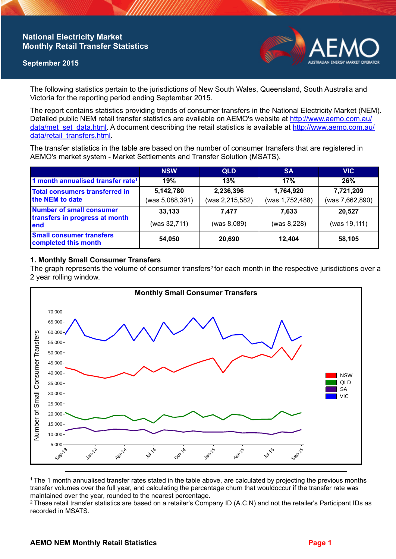## **National Electricity Market Monthly Retail Transfer Statistics**

### **September 2015**



The following statistics pertain to the jurisdictions of New South Wales, Queensland, South Australia and Victoria for the reporting period ending September 2015.

The report contains statistics providing trends of consumer transfers in the National Electricity Market (NEM). Detailed public NEM retail transfer statistics are available on AEMO's website at [http://www.aemo.com.au/](http://www.aemo.com.au/data/met_set_data.html) [data/met\\_set\\_data.html](http://www.aemo.com.au/data/met_set_data.html). A document describing the retail statistics is available at [http://www.aemo.com.au/](http://www.aemo.com.au/data/retail_transfers.html) [data/retail\\_transfers.html](http://www.aemo.com.au/data/retail_transfers.html).

The transfer statistics in the table are based on the number of consumer transfers that are registered in AEMO's market system - Market Settlements and Transfer Solution (MSATS).

|                                                                    | <b>NSW</b>                   | <b>QLD</b>                   | <b>SA</b>                    | <b>VIC</b>                   |
|--------------------------------------------------------------------|------------------------------|------------------------------|------------------------------|------------------------------|
| 1 month annualised transfer rate <sup>1</sup>                      | 19%                          | 13%                          | 17%                          | 26%                          |
| <b>Total consumers transferred in</b><br>the NEM to date           | 5,142,780<br>(was 5,088,391) | 2,236,396<br>(was 2,215,582) | 1,764,920<br>(was 1,752,488) | 7,721,209<br>(was 7,662,890) |
| Number of small consumer<br>transfers in progress at month<br>lend | 33,133                       | 7.477                        | 7.633                        | 20,527                       |
|                                                                    | (was 32,711)                 | (was 8,089)                  | (was 8,228)                  | (was 19,111)                 |
| <b>Small consumer transfers</b><br>completed this month            | 54,050                       | 20,690                       | 12.404                       | 58,105                       |

### **1. Monthly Small Consumer Transfers**

The graph represents the volume of consumer transfers<sup>2</sup> for each month in the respective jurisdictions over a 2 year rolling window.



<sup>1</sup>The 1 month annualised transfer rates stated in the table above, are calculated by projecting the previous months transfer volumes over the full year, and calculating the percentage churn that wouldoccur if the transfer rate was maintained over the year, rounded to the nearest percentage.

<sup>2</sup> These retail transfer statistics are based on a retailer's Company ID (A.C.N) and not the retailer's Participant IDs as recorded in MSATS.